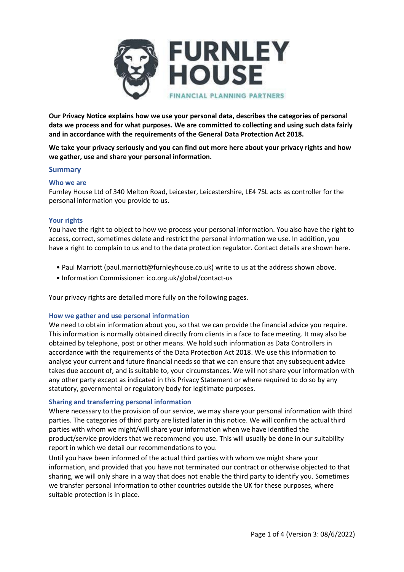

**Our Privacy Notice explains how we use your personal data, describes the categories of personal data we process and for what purposes. We are committed to collecting and using such data fairly and in accordance with the requirements of the General Data Protection Act 2018.**

**We take your privacy seriously and you can find out more here about your privacy rights and how we gather, use and share your personal information.**

## **Summary**

## **Who we are**

Furnley House Ltd of 340 Melton Road, Leicester, Leicestershire, LE4 7SL acts as controller for the personal information you provide to us.

# **Your rights**

You have the right to object to how we process your personal information. You also have the right to access, correct, sometimes delete and restrict the personal information we use. In addition, you have a right to complain to us and to the data protection regulator. Contact details are shown here.

- Paul Marriott (paul.marriott@furnleyhouse.co.uk) write to us at the address shown above.
- Information Commissioner: ico.org.uk/global/contact-us

Your privacy rights are detailed more fully on the following pages.

### **How we gather and use personal information**

We need to obtain information about you, so that we can provide the financial advice you require. This information is normally obtained directly from clients in a face to face meeting. It may also be obtained by telephone, post or other means. We hold such information as Data Controllers in accordance with the requirements of the Data Protection Act 2018. We use this information to analyse your current and future financial needs so that we can ensure that any subsequent advice takes due account of, and is suitable to, your circumstances. We will not share your information with any other party except as indicated in this Privacy Statement or where required to do so by any statutory, governmental or regulatory body for legitimate purposes.

# **Sharing and transferring personal information**

Where necessary to the provision of our service, we may share your personal information with third parties. The categories of third party are listed later in this notice. We will confirm the actual third parties with whom we might/will share your information when we have identified the product/service providers that we recommend you use. This will usually be done in our suitability report in which we detail our recommendations to you.

Until you have been informed of the actual third parties with whom we might share your information, and provided that you have not terminated our contract or otherwise objected to that sharing, we will only share in a way that does not enable the third party to identify you. Sometimes we transfer personal information to other countries outside the UK for these purposes, where suitable protection is in place.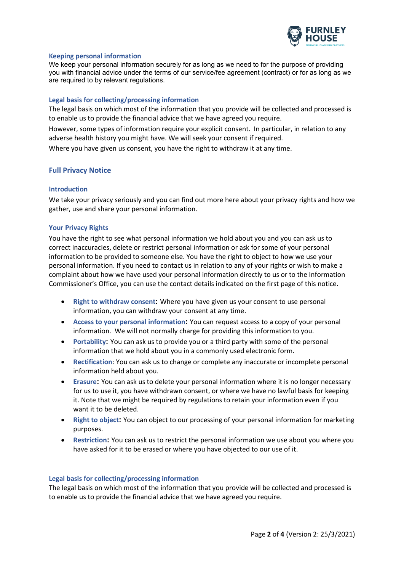

## **Keeping personal information**

We keep your personal information securely for as long as we need to for the purpose of providing you with financial advice under the terms of our service/fee agreement (contract) or for as long as we are required to by relevant regulations.

## **Legal basis for collecting/processing information**

The legal basis on which most of the information that you provide will be collected and processed is to enable us to provide the financial advice that we have agreed you require.

However, some types of information require your explicit consent. In particular, in relation to any adverse health history you might have. We will seek your consent if required.

Where you have given us consent, you have the right to withdraw it at any time.

## **Full Privacy Notice**

## **Introduction**

We take your privacy seriously and you can find out more here about your privacy rights and how we gather, use and share your personal information.

### **Your Privacy Rights**

You have the right to see what personal information we hold about you and you can ask us to correct inaccuracies, delete or restrict personal information or ask for some of your personal information to be provided to someone else. You have the right to object to how we use your personal information. If you need to contact us in relation to any of your rights or wish to make a complaint about how we have used your personal information directly to us or to the Information Commissioner's Office, you can use the contact details indicated on the first page of this notice.

- **Right to withdraw consent:** Where you have given us your consent to use personal information, you can withdraw your consent at any time.
- **Access to your personal information:** You can request access to a copy of your personal information. We will not normally charge for providing this information to you.
- **Portability:** You can ask us to provide you or a third party with some of the personal information that we hold about you in a commonly used electronic form.
- **Rectification**: You can ask us to change or complete any inaccurate or incomplete personal information held about you.
- **Erasure:** You can ask us to delete your personal information where it is no longer necessary for us to use it, you have withdrawn consent, or where we have no lawful basis for keeping it. Note that we might be required by regulations to retain your information even if you want it to be deleted.
- **Right to object:** You can object to our processing of your personal information for marketing purposes.
- **Restriction:** You can ask us to restrict the personal information we use about you where you have asked for it to be erased or where you have objected to our use of it.

### **Legal basis for collecting/processing information**

The legal basis on which most of the information that you provide will be collected and processed is to enable us to provide the financial advice that we have agreed you require.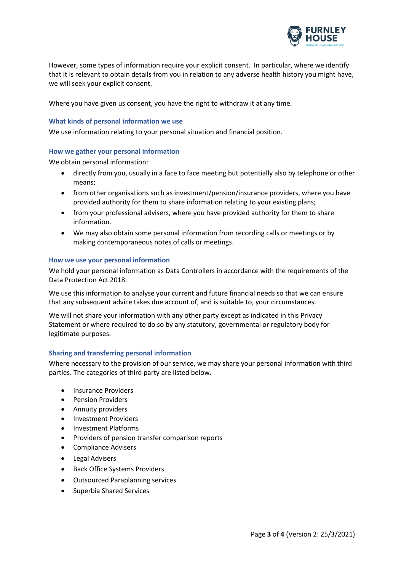

However, some types of information require your explicit consent. In particular, where we identify that it is relevant to obtain details from you in relation to any adverse health history you might have, we will seek your explicit consent.

Where you have given us consent, you have the right to withdraw it at any time.

# **What kinds of personal information we use**

We use information relating to your personal situation and financial position.

# **How we gather your personal information**

We obtain personal information:

- directly from you, usually in a face to face meeting but potentially also by telephone or other means;
- from other organisations such as investment/pension/insurance providers, where you have provided authority for them to share information relating to your existing plans;
- from your professional advisers, where you have provided authority for them to share information.
- We may also obtain some personal information from recording calls or meetings or by making contemporaneous notes of calls or meetings.

## **How we use your personal information**

We hold your personal information as Data Controllers in accordance with the requirements of the Data Protection Act 2018.

We use this information to analyse your current and future financial needs so that we can ensure that any subsequent advice takes due account of, and is suitable to, your circumstances.

We will not share your information with any other party except as indicated in this Privacy Statement or where required to do so by any statutory, governmental or regulatory body for legitimate purposes.

# **Sharing and transferring personal information**

Where necessary to the provision of our service, we may share your personal information with third parties. The categories of third party are listed below.

- Insurance Providers
- Pension Providers
- Annuity providers
- Investment Providers
- Investment Platforms
- Providers of pension transfer comparison reports
- Compliance Advisers
- Legal Advisers
- Back Office Systems Providers
- Outsourced Paraplanning services
- Superbia Shared Services